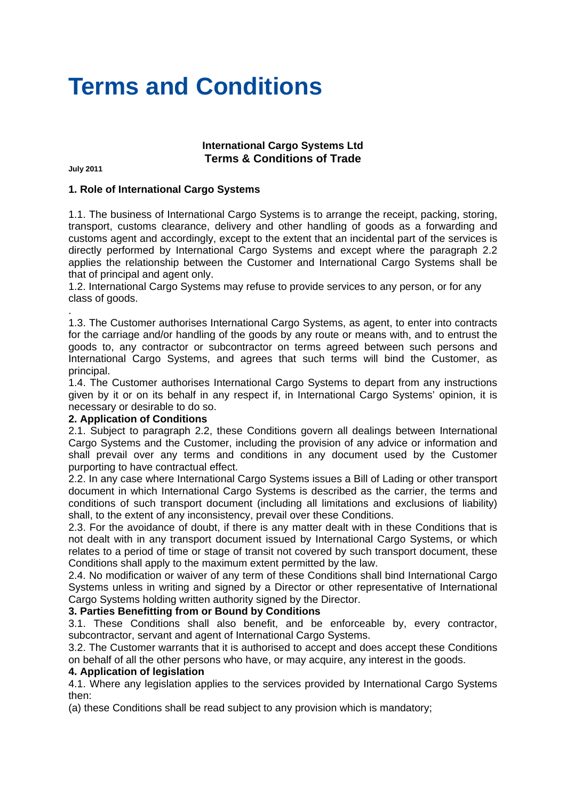# **Terms and Conditions**

# **International Cargo Systems Ltd Terms & Conditions of Trade**

**July 2011** 

#### **1. Role of International Cargo Systems**

1.1. The business of International Cargo Systems is to arrange the receipt, packing, storing, transport, customs clearance, delivery and other handling of goods as a forwarding and customs agent and accordingly, except to the extent that an incidental part of the services is directly performed by International Cargo Systems and except where the paragraph 2.2 applies the relationship between the Customer and International Cargo Systems shall be that of principal and agent only.

1.2. International Cargo Systems may refuse to provide services to any person, or for any class of goods.

. 1.3. The Customer authorises International Cargo Systems, as agent, to enter into contracts for the carriage and/or handling of the goods by any route or means with, and to entrust the goods to, any contractor or subcontractor on terms agreed between such persons and International Cargo Systems, and agrees that such terms will bind the Customer, as principal.

1.4. The Customer authorises International Cargo Systems to depart from any instructions given by it or on its behalf in any respect if, in International Cargo Systems' opinion, it is necessary or desirable to do so.

#### **2. Application of Conditions**

2.1. Subject to paragraph 2.2, these Conditions govern all dealings between International Cargo Systems and the Customer, including the provision of any advice or information and shall prevail over any terms and conditions in any document used by the Customer purporting to have contractual effect.

2.2. In any case where International Cargo Systems issues a Bill of Lading or other transport document in which International Cargo Systems is described as the carrier, the terms and conditions of such transport document (including all limitations and exclusions of liability) shall, to the extent of any inconsistency, prevail over these Conditions.

2.3. For the avoidance of doubt, if there is any matter dealt with in these Conditions that is not dealt with in any transport document issued by International Cargo Systems, or which relates to a period of time or stage of transit not covered by such transport document, these Conditions shall apply to the maximum extent permitted by the law.

2.4. No modification or waiver of any term of these Conditions shall bind International Cargo Systems unless in writing and signed by a Director or other representative of International Cargo Systems holding written authority signed by the Director.

#### **3. Parties Benefitting from or Bound by Conditions**

3.1. These Conditions shall also benefit, and be enforceable by, every contractor, subcontractor, servant and agent of International Cargo Systems.

3.2. The Customer warrants that it is authorised to accept and does accept these Conditions on behalf of all the other persons who have, or may acquire, any interest in the goods.

## **4. Application of legislation**

4.1. Where any legislation applies to the services provided by International Cargo Systems then:

(a) these Conditions shall be read subject to any provision which is mandatory;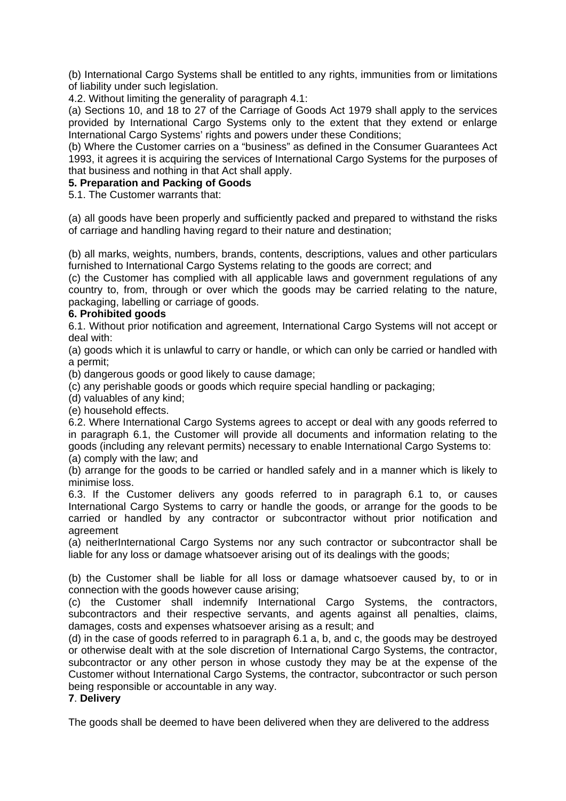(b) International Cargo Systems shall be entitled to any rights, immunities from or limitations of liability under such legislation.

4.2. Without limiting the generality of paragraph 4.1:

(a) Sections 10, and 18 to 27 of the Carriage of Goods Act 1979 shall apply to the services provided by International Cargo Systems only to the extent that they extend or enlarge International Cargo Systems' rights and powers under these Conditions;

(b) Where the Customer carries on a "business" as defined in the Consumer Guarantees Act 1993, it agrees it is acquiring the services of International Cargo Systems for the purposes of that business and nothing in that Act shall apply.

# **5. Preparation and Packing of Goods**

5.1. The Customer warrants that:

(a) all goods have been properly and sufficiently packed and prepared to withstand the risks of carriage and handling having regard to their nature and destination;

(b) all marks, weights, numbers, brands, contents, descriptions, values and other particulars furnished to International Cargo Systems relating to the goods are correct; and

(c) the Customer has complied with all applicable laws and government regulations of any country to, from, through or over which the goods may be carried relating to the nature, packaging, labelling or carriage of goods.

#### **6. Prohibited goods**

6.1. Without prior notification and agreement, International Cargo Systems will not accept or deal with:

(a) goods which it is unlawful to carry or handle, or which can only be carried or handled with a permit;

(b) dangerous goods or good likely to cause damage;

(c) any perishable goods or goods which require special handling or packaging;

(d) valuables of any kind;

(e) household effects.

6.2. Where International Cargo Systems agrees to accept or deal with any goods referred to in paragraph 6.1, the Customer will provide all documents and information relating to the goods (including any relevant permits) necessary to enable International Cargo Systems to: (a) comply with the law; and

(b) arrange for the goods to be carried or handled safely and in a manner which is likely to minimise loss.

6.3. If the Customer delivers any goods referred to in paragraph 6.1 to, or causes International Cargo Systems to carry or handle the goods, or arrange for the goods to be carried or handled by any contractor or subcontractor without prior notification and agreement

(a) neitherInternational Cargo Systems nor any such contractor or subcontractor shall be liable for any loss or damage whatsoever arising out of its dealings with the goods;

(b) the Customer shall be liable for all loss or damage whatsoever caused by, to or in connection with the goods however cause arising;

(c) the Customer shall indemnify International Cargo Systems, the contractors, subcontractors and their respective servants, and agents against all penalties, claims, damages, costs and expenses whatsoever arising as a result; and

(d) in the case of goods referred to in paragraph 6.1 a, b, and c, the goods may be destroyed or otherwise dealt with at the sole discretion of International Cargo Systems, the contractor, subcontractor or any other person in whose custody they may be at the expense of the Customer without International Cargo Systems, the contractor, subcontractor or such person being responsible or accountable in any way.

# **7**. **Delivery**

The goods shall be deemed to have been delivered when they are delivered to the address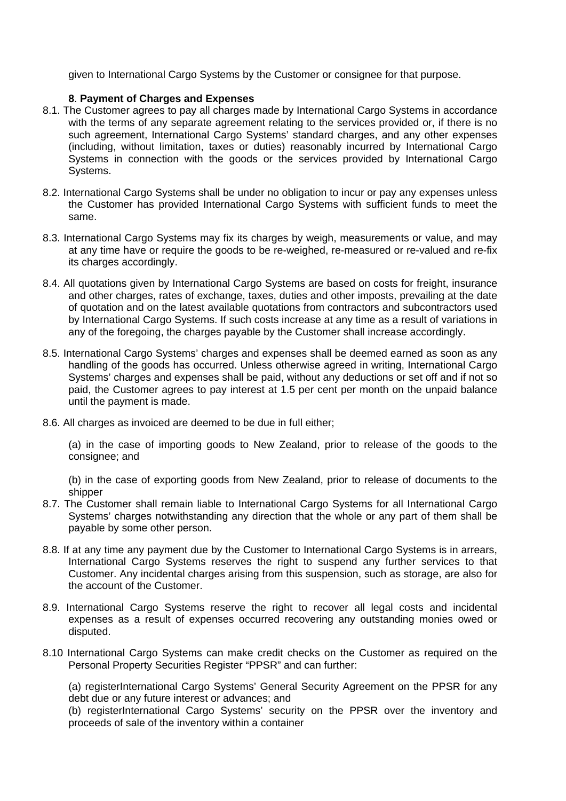given to International Cargo Systems by the Customer or consignee for that purpose.

## **8**. **Payment of Charges and Expenses**

- 8.1. The Customer agrees to pay all charges made by International Cargo Systems in accordance with the terms of any separate agreement relating to the services provided or, if there is no such agreement, International Cargo Systems' standard charges, and any other expenses (including, without limitation, taxes or duties) reasonably incurred by International Cargo Systems in connection with the goods or the services provided by International Cargo Systems.
- 8.2. International Cargo Systems shall be under no obligation to incur or pay any expenses unless the Customer has provided International Cargo Systems with sufficient funds to meet the same.
- 8.3. International Cargo Systems may fix its charges by weigh, measurements or value, and may at any time have or require the goods to be re-weighed, re-measured or re-valued and re-fix its charges accordingly.
- 8.4. All quotations given by International Cargo Systems are based on costs for freight, insurance and other charges, rates of exchange, taxes, duties and other imposts, prevailing at the date of quotation and on the latest available quotations from contractors and subcontractors used by International Cargo Systems. If such costs increase at any time as a result of variations in any of the foregoing, the charges payable by the Customer shall increase accordingly.
- 8.5. International Cargo Systems' charges and expenses shall be deemed earned as soon as any handling of the goods has occurred. Unless otherwise agreed in writing, International Cargo Systems' charges and expenses shall be paid, without any deductions or set off and if not so paid, the Customer agrees to pay interest at 1.5 per cent per month on the unpaid balance until the payment is made.
- 8.6. All charges as invoiced are deemed to be due in full either;

(a) in the case of importing goods to New Zealand, prior to release of the goods to the consignee; and

(b) in the case of exporting goods from New Zealand, prior to release of documents to the shipper

- 8.7. The Customer shall remain liable to International Cargo Systems for all International Cargo Systems' charges notwithstanding any direction that the whole or any part of them shall be payable by some other person.
- 8.8. If at any time any payment due by the Customer to International Cargo Systems is in arrears, International Cargo Systems reserves the right to suspend any further services to that Customer. Any incidental charges arising from this suspension, such as storage, are also for the account of the Customer.
- 8.9. International Cargo Systems reserve the right to recover all legal costs and incidental expenses as a result of expenses occurred recovering any outstanding monies owed or disputed.
- 8.10 International Cargo Systems can make credit checks on the Customer as required on the Personal Property Securities Register "PPSR" and can further:

(a) registerInternational Cargo Systems' General Security Agreement on the PPSR for any debt due or any future interest or advances; and

(b) registerInternational Cargo Systems' security on the PPSR over the inventory and proceeds of sale of the inventory within a container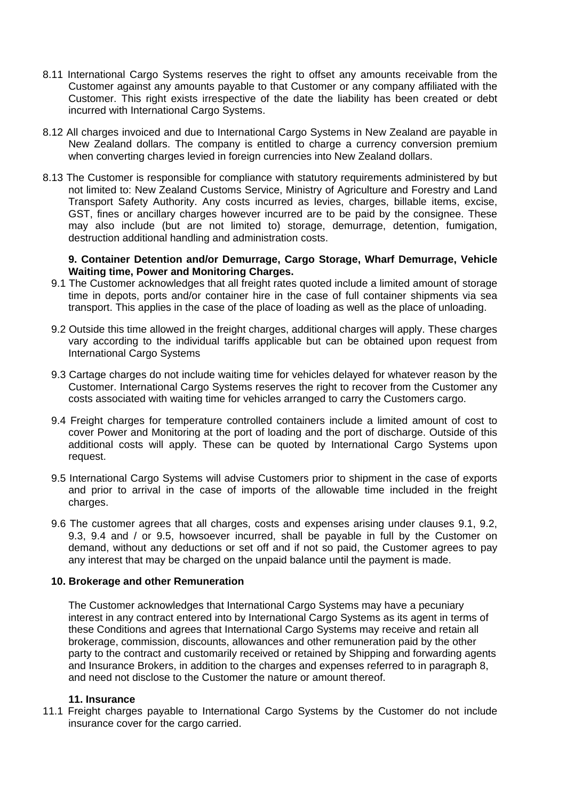- 8.11 International Cargo Systems reserves the right to offset any amounts receivable from the Customer against any amounts payable to that Customer or any company affiliated with the Customer. This right exists irrespective of the date the liability has been created or debt incurred with International Cargo Systems.
- 8.12 All charges invoiced and due to International Cargo Systems in New Zealand are payable in New Zealand dollars. The company is entitled to charge a currency conversion premium when converting charges levied in foreign currencies into New Zealand dollars.
- 8.13 The Customer is responsible for compliance with statutory requirements administered by but not limited to: New Zealand Customs Service, Ministry of Agriculture and Forestry and Land Transport Safety Authority. Any costs incurred as levies, charges, billable items, excise, GST, fines or ancillary charges however incurred are to be paid by the consignee. These may also include (but are not limited to) storage, demurrage, detention, fumigation, destruction additional handling and administration costs.

#### **9. Container Detention and/or Demurrage, Cargo Storage, Wharf Demurrage, Vehicle Waiting time, Power and Monitoring Charges.**

- 9.1 The Customer acknowledges that all freight rates quoted include a limited amount of storage time in depots, ports and/or container hire in the case of full container shipments via sea transport. This applies in the case of the place of loading as well as the place of unloading.
- 9.2 Outside this time allowed in the freight charges, additional charges will apply. These charges vary according to the individual tariffs applicable but can be obtained upon request from International Cargo Systems
- 9.3 Cartage charges do not include waiting time for vehicles delayed for whatever reason by the Customer. International Cargo Systems reserves the right to recover from the Customer any costs associated with waiting time for vehicles arranged to carry the Customers cargo.
- 9.4 Freight charges for temperature controlled containers include a limited amount of cost to cover Power and Monitoring at the port of loading and the port of discharge. Outside of this additional costs will apply. These can be quoted by International Cargo Systems upon request.
- 9.5 International Cargo Systems will advise Customers prior to shipment in the case of exports and prior to arrival in the case of imports of the allowable time included in the freight charges.
- 9.6 The customer agrees that all charges, costs and expenses arising under clauses 9.1, 9.2, 9.3, 9.4 and / or 9.5, howsoever incurred, shall be payable in full by the Customer on demand, without any deductions or set off and if not so paid, the Customer agrees to pay any interest that may be charged on the unpaid balance until the payment is made.

# **10. Brokerage and other Remuneration**

The Customer acknowledges that International Cargo Systems may have a pecuniary interest in any contract entered into by International Cargo Systems as its agent in terms of these Conditions and agrees that International Cargo Systems may receive and retain all brokerage, commission, discounts, allowances and other remuneration paid by the other party to the contract and customarily received or retained by Shipping and forwarding agents and Insurance Brokers, in addition to the charges and expenses referred to in paragraph 8, and need not disclose to the Customer the nature or amount thereof.

#### **11. Insurance**

11.1 Freight charges payable to International Cargo Systems by the Customer do not include insurance cover for the cargo carried.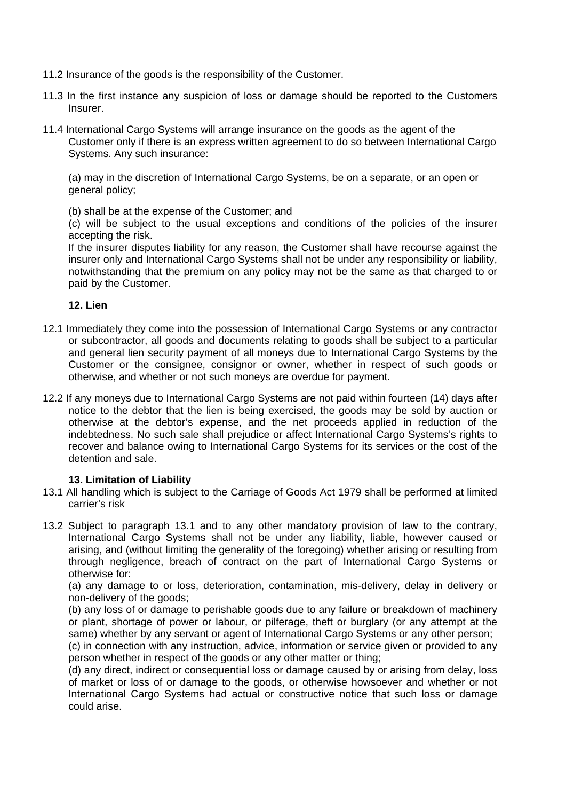- 11.2 Insurance of the goods is the responsibility of the Customer.
- 11.3 In the first instance any suspicion of loss or damage should be reported to the Customers Insurer.
- 11.4 International Cargo Systems will arrange insurance on the goods as the agent of the Customer only if there is an express written agreement to do so between International Cargo Systems. Any such insurance:

(a) may in the discretion of International Cargo Systems, be on a separate, or an open or general policy;

(b) shall be at the expense of the Customer; and

(c) will be subject to the usual exceptions and conditions of the policies of the insurer accepting the risk.

If the insurer disputes liability for any reason, the Customer shall have recourse against the insurer only and International Cargo Systems shall not be under any responsibility or liability, notwithstanding that the premium on any policy may not be the same as that charged to or paid by the Customer.

#### **12. Lien**

- 12.1 Immediately they come into the possession of International Cargo Systems or any contractor or subcontractor, all goods and documents relating to goods shall be subject to a particular and general lien security payment of all moneys due to International Cargo Systems by the Customer or the consignee, consignor or owner, whether in respect of such goods or otherwise, and whether or not such moneys are overdue for payment.
- 12.2 If any moneys due to International Cargo Systems are not paid within fourteen (14) days after notice to the debtor that the lien is being exercised, the goods may be sold by auction or otherwise at the debtor's expense, and the net proceeds applied in reduction of the indebtedness. No such sale shall prejudice or affect International Cargo Systems's rights to recover and balance owing to International Cargo Systems for its services or the cost of the detention and sale.

# **13. Limitation of Liability**

- 13.1 All handling which is subject to the Carriage of Goods Act 1979 shall be performed at limited carrier's risk
- 13.2 Subject to paragraph 13.1 and to any other mandatory provision of law to the contrary, International Cargo Systems shall not be under any liability, liable, however caused or arising, and (without limiting the generality of the foregoing) whether arising or resulting from through negligence, breach of contract on the part of International Cargo Systems or otherwise for:

(a) any damage to or loss, deterioration, contamination, mis-delivery, delay in delivery or non-delivery of the goods;

(b) any loss of or damage to perishable goods due to any failure or breakdown of machinery or plant, shortage of power or labour, or pilferage, theft or burglary (or any attempt at the same) whether by any servant or agent of International Cargo Systems or any other person;

(c) in connection with any instruction, advice, information or service given or provided to any person whether in respect of the goods or any other matter or thing;

(d) any direct, indirect or consequential loss or damage caused by or arising from delay, loss of market or loss of or damage to the goods, or otherwise howsoever and whether or not International Cargo Systems had actual or constructive notice that such loss or damage could arise.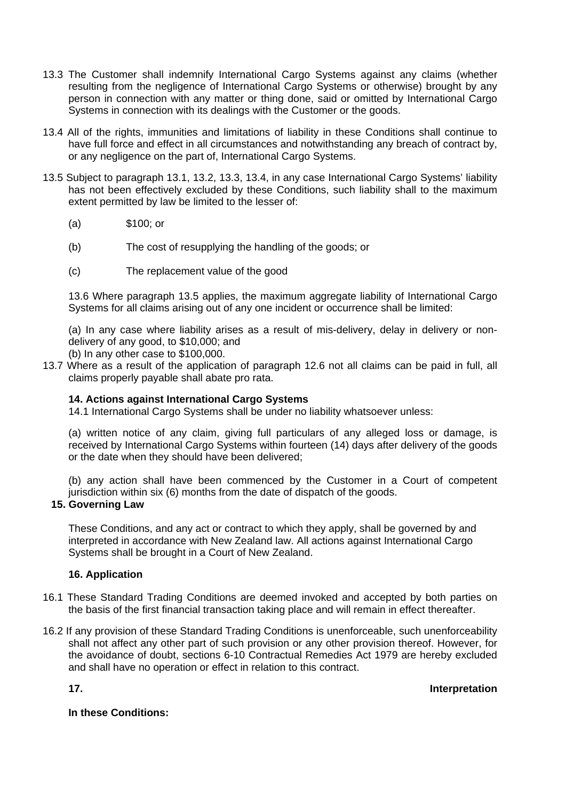- 13.3 The Customer shall indemnify International Cargo Systems against any claims (whether resulting from the negligence of International Cargo Systems or otherwise) brought by any person in connection with any matter or thing done, said or omitted by International Cargo Systems in connection with its dealings with the Customer or the goods.
- 13.4 All of the rights, immunities and limitations of liability in these Conditions shall continue to have full force and effect in all circumstances and notwithstanding any breach of contract by, or any negligence on the part of, International Cargo Systems.
- 13.5 Subject to paragraph 13.1, 13.2, 13.3, 13.4, in any case International Cargo Systems' liability has not been effectively excluded by these Conditions, such liability shall to the maximum extent permitted by law be limited to the lesser of:
	- (a) \$100; or
	- (b) The cost of resupplying the handling of the goods; or
	- (c) The replacement value of the good

13.6 Where paragraph 13.5 applies, the maximum aggregate liability of International Cargo Systems for all claims arising out of any one incident or occurrence shall be limited:

(a) In any case where liability arises as a result of mis-delivery, delay in delivery or nondelivery of any good, to \$10,000; and

- (b) In any other case to \$100,000.
- 13.7 Where as a result of the application of paragraph 12.6 not all claims can be paid in full, all claims properly payable shall abate pro rata.

# **14. Actions against International Cargo Systems**

14.1 International Cargo Systems shall be under no liability whatsoever unless:

(a) written notice of any claim, giving full particulars of any alleged loss or damage, is received by International Cargo Systems within fourteen (14) days after delivery of the goods or the date when they should have been delivered;

(b) any action shall have been commenced by the Customer in a Court of competent jurisdiction within six (6) months from the date of dispatch of the goods.

# **15. Governing Law**

These Conditions, and any act or contract to which they apply, shall be governed by and interpreted in accordance with New Zealand law. All actions against International Cargo Systems shall be brought in a Court of New Zealand.

# **16. Application**

- 16.1 These Standard Trading Conditions are deemed invoked and accepted by both parties on the basis of the first financial transaction taking place and will remain in effect thereafter.
- 16.2 If any provision of these Standard Trading Conditions is unenforceable, such unenforceability shall not affect any other part of such provision or any other provision thereof. However, for the avoidance of doubt, sections 6-10 Contractual Remedies Act 1979 are hereby excluded and shall have no operation or effect in relation to this contract.

**17. Interpretation** 

#### **In these Conditions:**